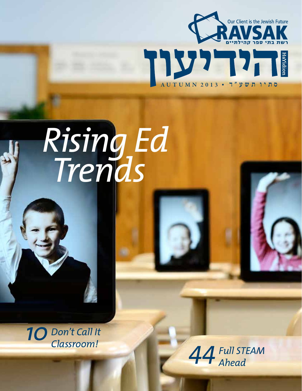

# Rising Ed<br>Trends

10 Don't Call It Classroom!

¥

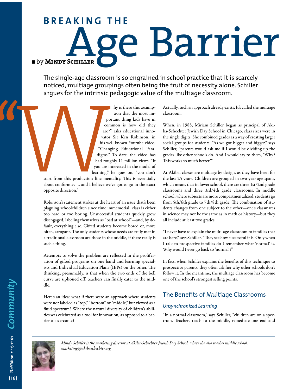# ¿ by **mindy Schiller** ge Barrier **B r e a k i n g t h e**

The single-age classroom is so engrained in school practice that it is scarcely noticed, multiage groupings often being the fruit of necessity alone. Schiller argues for the intrinsic pedagogic value of the multiage classroom.

> hy is there this assumption that the most important thing kids have in common is how old they are?" asks educational innovator Sir Ken Robinson, in his well-known Youtube video, "Changing Educational Paradigms." To date, the video has had roughly 11 million views. "If you are interested in the model of learning," he goes on, "you don't

start from this production line mentality. This is essentially about conformity … and I believe we've got to go in the exact opposite direction."

Robinson's statement strikes at the heart of an issue that's been plaguing schoolchildren since time immemorial: class is either too hard or too boring. Unsuccessful students quickly grow disengaged, labeling themselves as "bad at school"—and, by default, everything else. Gifted students become bored or, more often, arrogant. The only students whose needs are truly met in a traditional classroom are those in the middle, if there really is such a thing.

Attempts to solve the problem are reflected in the proliferation of gifted programs on one hand and learning specialists and Individual Education Plans (IEPs) on the other. The thinking, presumably, is that when the two ends of the bell curve are siphoned off, teachers can finally cater to the middle.

Here's an idea: what if there were an approach where students were not labeled as "top," "bottom" or "middle," but viewed as a fluid spectrum? Where the natural diversity of children's abilities was celebrated as a tool for innovation, as opposed to a barrier to overcome?

Actually, such an approach already exists. It's called the multiage classroom.

When, in 1988, Miriam Schiller began as principal of Akiba-Schechter Jewish Day School in Chicago, class sizes were in the single digits. She combined grades as a way of creating larger social groups for students. "As we got bigger and bigger," says Schiller, "parents would ask me if I would be dividing up the grades like other schools do. And I would say to them, 'Why? This works so much better.'"

At Akiba, classes are multiage by design, as they have been for the last 25 years. Children are grouped in two-year age spans, which means that in lower school, there are three 1st/2nd grade classrooms and three 3rd/4th grade classrooms. In middle school, where subjects are more compartmentalized, students go from 5th/6th grade to 7th/8th grade. The combination of students changes from one subject to the other—one's classmates in science may not be the same as in math or history—but they all include at least two grades.

"I never have to explain the multi-age classroom to families that are here," says Schiller. "They see how successful it is. Only when I talk to prospective families do I remember what 'normal' is. Why would I ever go back to 'normal'?"

In fact, when Schiller explains the benefits of this technique to prospective parents, they often ask her why other schools don't follow it. In the meantime, the multiage classroom has become one of the school's strongest selling points.

# The Benefits of Multiage Classrooms

# *Unsynchronized Learning*

"In a normal classroom," says Schiller, "children are on a spectrum. Teachers teach to the middle, remediate one end and



*Mindy Schiller is the marketing director at Akiba-Schechter Jewish Day School, where she also teaches middle school. marketing@akibaschechter.org*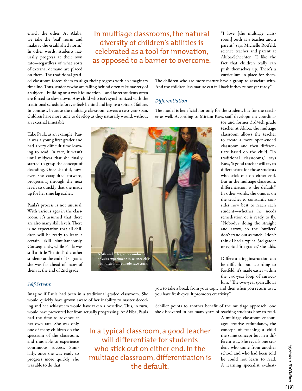enrich the other. At Akiba, we take the 'real' norm and make it the established norm." In other words, students naturally progress at their own rate—regardless of what sorts of external demand are placed on them. The traditional grad-

# In multiage classrooms, the natural diversity of children's abilities is celebrated as a tool for innovation, as opposed to a barrier to overcome.

"I love [the multiage classroom] both as a teacher and a parent," says Michelle Rotfeld, science teacher and parent at Akiba-Schechter. "I like the fact that children really can push themselves up. There's a curriculum in place for them.

ed classroom forces them to align their progress with an imaginary timeline. Thus, students who are falling behind often fake mastery of a subject—building on a weak foundation—and faster students often are forced to slow down. Any child who isn't synchronized with the traditional schedule forever feels behind and begins a spiral of failure. In contrast, because the multiage classroom covers a two-year span, children have more time to develop as they naturally would, without an external timetable.

Take Paula as an example. Paula was a young first grader and had a very difficult time learning to read. In fact, it wasn't until midyear that she finally started to grasp the concept of decoding. Once she did, however, she catapulted forward, progressing through the next levels so quickly that she made up for her time lag earlier.

Paula's process is not unusual. With various ages in the classroom, it's assumed that there are also many skill levels. There is no expectation that all children will be ready to learn a certain skill simultaneously. Consequently, while Paula was still a little "behind" the other students at the end of 1st grade, she was far ahead of many of them at the end of 2nd grade.



The children who are more mature have a group to associate with. And the children less mature can fall back if they're not yet ready."

# *Differentiation*

The model is beneficial not only for the student, but for the teacher as well. According to Miriam Kass, staff development coordina-

> tor and former 3rd/4th grade teacher at Akiba, the multiage classroom allows the teacher to create a more open-ended classroom and then differentiate based on the child. "In traditional classrooms," says Kass, "a good teacher will try to differentiate for those students who stick out on either end. But in the multiage classroom, differentiation is the default." In other words, the onus is on the teacher to constantly consider how best to reach each student—whether he needs remediation or is ready to fly. "Nobody's doing the straight and arrow, so the 'outliers' don't stand out as much. I don't think I had a typical 3rd grader or typical 4th grader," she adds.

> Differentiating instruction can be difficult, but according to Rotfeld, it's made easier within the two-year loop of curriculum. "The two-year span allows

### *Self-Esteem*

Imagine if Paula had been in a traditional graded classroom. She would quickly have grown aware of her inability to master decoding and her self-esteem would have taken a nosedive. This, in turn, would have prevented her from actually progressing. At Akiba, Paula

had the time to advance at her own rate. She was only one of many children on the spectrum of the classroom, and thus able to experience continuous success. Similarly, once she was ready to progress more quickly, she was able to do that.

In a typical classroom, a good teacher will differentiate for students who stick out on either end. In the multiage classroom, differentiation is the default.

you to take a break from your topic and then when you return to it, you have fresh eyes. It promotes creativity."

Schiller points to another benefit of the multiage approach, one she discovered in her many years of teaching students how to read.

> A multiage classroom encourages creative redundancy, the concept of teaching a child the same concept but in a different way. She recalls one student who came from another school and who had been told he could not learn to read. A learning specialist evaluat-

TVTT . FlaYidion *HaYidion •* **הידיעון[19]**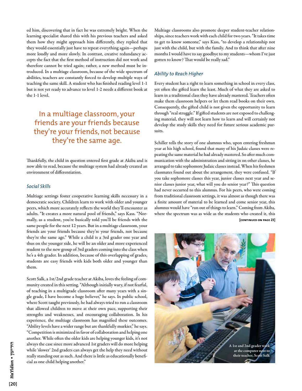ed him, discovering that in fact he was extremely bright. When the learning specialist shared this with his previous teachers and asked them how they might approach him differently, they replied that they would essentially just have to repeat everything again—perhaps more loudly and more slowly. In contrast, creative redundancy accepts the fact that the first method of instruction did not work and therefore cannot be tried again; rather, a new method must be introduced. In a multiage classroom, because of the wide spectrum of abilities, teachers are constantly forced to develop multiple ways of teaching the same skill. A student who has finished reading level 1-1 but is not yet ready to advance to level 1-2 needs a different book at the 1-1 level.

# In a multiage classroom, your friends are your friends because they're your friends, not because they're the same age.

Thankfully, the child in question entered first grade at Akiba and is now able to read, because the multiage system had already created an environment of differentiation.

### *Social Skills*

Multiage settings foster cooperative learning skills necessary in a democratic society. Children learn to work with older and younger peers, which more accurately reflects the world they'll encounter as adults. "It creates a more natural pool of friends," says Kass. "Normally, as a student, you're basically told you'll be friends with the same people for the next 12 years. But in a multiage classroom, your friends are your friends because they're your friends, not because they're the same age." While a child is a 3rd grader one year and thus on the younger side, he will be an older and more experienced student to the new group of 3rd graders coming into the class when he's a 4th grader. In addition, because of this overlapping of grades, students are easy friends with kids both older and younger than them.

Scott Salk, a 1st/2nd grade teacher at Akiba, loves the feeling of community created in this setting. "Although initially wary, if not fearful, of teaching in a multigrade classroom after many years with a single grade, I have become a huge believer," he says. In public school, where Scott taught previously, he had always tried to run a classroom that allowed children to move at their own pace, supporting their strengths and weaknesses, and encouraging collaboration. In his experience, the multiage classroom has magnified these outcomes. "Ability levels have a wider range but are thankfully murkier," he says. "Competition is minimized in favor of collaboration and helping one another. While often the older kids are helping younger kids, it's not always the case since more advanced 1st graders will do more helping while 'slower' 2nd graders can always get the help they need without really standing out as such. And there is little as educationally beneficial as one child helping another."

Multiage classrooms also promote deeper student-teacher relationships, since teachers work with each child for two years. "It takes time to get to know someone," says Kass, "to develop a relationship not just with the child, but with the family. And to think that after nine months I would have to say goodbye to my students—whom I've just gotten to know? That would be really sad."

# *Ability to Reach Higher*

Every student has a right to learn something in school in every class, yet often the gifted learn the least. Much of what they are asked to learn in a traditional class they have already mastered. Teachers often make them classroom helpers or let them read books on their own. Consequently, the gifted child is not given the opportunity to learn through "real struggle." If gifted students are not exposed to challenging material, they will not learn how to learn and will certainly not develop the study skills they need for future serious academic pursuits.

Schiller tells the story of one alumnus who, upon entering freshman year at his high school, found that many of his Judaic classes were repeating the same material he had already mastered. So after much communication with the administration and sitting in on other classes, he arranged to take sophomore Judaic classes instead. When his freshmen classmates found out about the arrangement, they were confused. "If you take sophomore classes this year, junior classes next year and senior classes junior year, what will you do senior year?" This question had never occurred to this alumnus. For his peers, who were coming from traditional classroom settings, it was almost as though there was a finite amount of material to be learned and come senior year, this alumnus would have "run out of things to learn." Coming from Akiba, where the spectrum was as wide as the students who created it, this **[continued on page 23]**